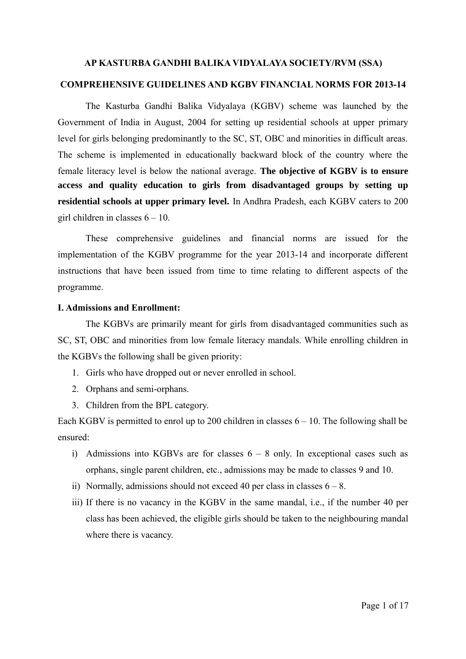## **AP KASTURBA GANDHI BALIKA VIDYALAYA SOCIETY/RVM (SSA) COMPREHENSIVE GUIDELINES AND KGBV FINANCIAL NORMS FOR 2013-14**

The Kasturba Gandhi Balika Vidyalaya (KGBV) scheme was launched by the Government of India in August, 2004 for setting up residential schools at upper primary level for girls belonging predominantly to the SC, ST, OBC and minorities in difficult areas. The scheme is implemented in educationally backward block of the country where the female literacy level is below the national average. **The objective of KGBV is to ensure access and quality education to girls from disadvantaged groups by setting up residential schools at upper primary level.** In Andhra Pradesh, each KGBV caters to 200 girl children in classes  $6 - 10$ .

These comprehensive guidelines and financial norms are issued for the implementation of the KGBV programme for the year 2013-14 and incorporate different instructions that have been issued from time to time relating to different aspects of the programme.

#### **I. Admissions and Enrollment:**

The KGBVs are primarily meant for girls from disadvantaged communities such as SC, ST, OBC and minorities from low female literacy mandals. While enrolling children in the KGBVs the following shall be given priority:

- 1. Girls who have dropped out or never enrolled in school.
- 2. Orphans and semi-orphans.
- 3. Children from the BPL category.

Each KGBV is permitted to enrol up to 200 children in classes  $6 - 10$ . The following shall be ensured:

- i) Admissions into KGBVs are for classes  $6 8$  only. In exceptional cases such as orphans, single parent children, etc., admissions may be made to classes 9 and 10.
- ii) Normally, admissions should not exceed 40 per class in classes  $6 8$ .
- iii) If there is no vacancy in the KGBV in the same mandal, i.e., if the number 40 per class has been achieved, the eligible girls should be taken to the neighbouring mandal where there is vacancy.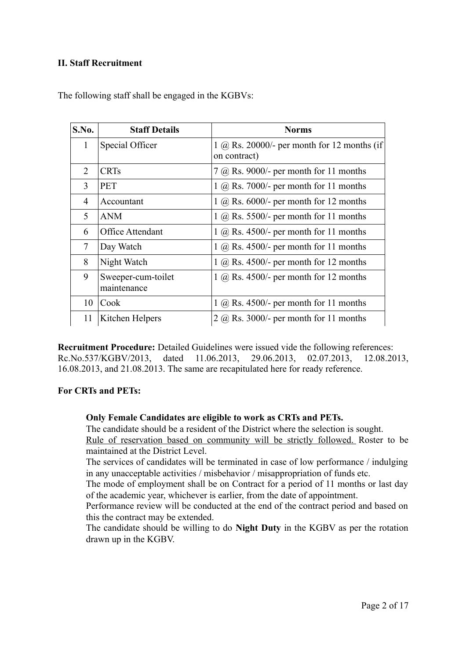#### **II. Staff Recruitment**

| S.No.        | <b>Staff Details</b>              | <b>Norms</b>                                                       |
|--------------|-----------------------------------|--------------------------------------------------------------------|
| $\mathbf{1}$ | Special Officer                   | $1 \omega$ Rs. 20000/- per month for 12 months (if<br>on contract) |
| 2            | <b>CRTs</b>                       | $7$ (a) Rs. 9000/- per month for 11 months                         |
| 3            | <b>PET</b>                        | $1 \omega$ Rs. 7000/- per month for 11 months                      |
| 4            | Accountant                        | $1 \omega$ Rs. 6000/- per month for 12 months                      |
| 5            | <b>ANM</b>                        | $1 \omega$ Rs. 5500/- per month for 11 months                      |
| 6            | Office Attendant                  | $1 \omega$ Rs. 4500/- per month for 11 months                      |
| 7            | Day Watch                         | $1$ (a) Rs. 4500/- per month for 11 months                         |
| 8            | Night Watch                       | $1 \omega$ Rs. 4500/- per month for 12 months                      |
| 9            | Sweeper-cum-toilet<br>maintenance | $1 \omega$ Rs. 4500/- per month for 12 months                      |
| 10           | Cook                              | $1$ (a) Rs. 4500/- per month for 11 months                         |
| 11           | Kitchen Helpers                   | $2 \omega$ Rs. 3000/- per month for 11 months                      |

The following staff shall be engaged in the KGBVs:

**Recruitment Procedure:** Detailed Guidelines were issued vide the following references: Rc.No.537/KGBV/2013, dated 11.06.2013, 29.06.2013, 02.07.2013, 12.08.2013, 16.08.2013, and 21.08.2013. The same are recapitulated here for ready reference.

#### **For CRTs and PETs:**

#### **Only Female Candidates are eligible to work as CRTs and PETs.**

The candidate should be a resident of the District where the selection is sought. Rule of reservation based on community will be strictly followed. Roster to be maintained at the District Level.

The services of candidates will be terminated in case of low performance / indulging in any unacceptable activities / misbehavior / misappropriation of funds etc.

The mode of employment shall be on Contract for a period of 11 months or last day of the academic year, whichever is earlier, from the date of appointment.

Performance review will be conducted at the end of the contract period and based on this the contract may be extended.

The candidate should be willing to do **Night Duty** in the KGBV as per the rotation drawn up in the KGBV.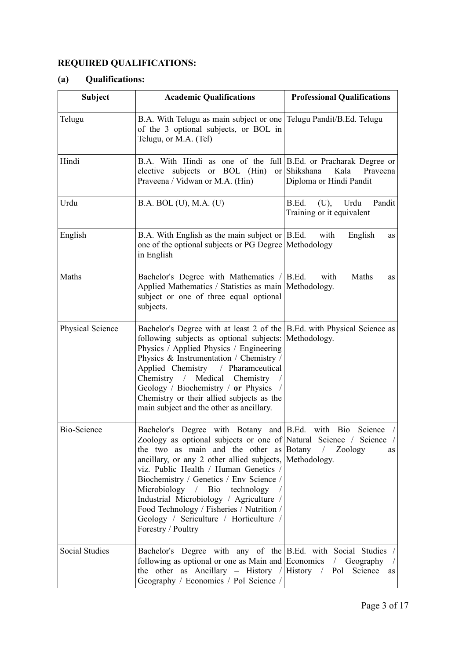## **REQUIRED QUALIFICATIONS:**

## **(a) Qualifications:**

| <b>Subject</b>        | <b>Academic Qualifications</b>                                                                                                                                                                                                                                                                                                                                                                                                                                                                                                 | <b>Professional Qualifications</b>                           |
|-----------------------|--------------------------------------------------------------------------------------------------------------------------------------------------------------------------------------------------------------------------------------------------------------------------------------------------------------------------------------------------------------------------------------------------------------------------------------------------------------------------------------------------------------------------------|--------------------------------------------------------------|
| Telugu                | B.A. With Telugu as main subject or one Telugu Pandit/B.Ed. Telugu<br>of the 3 optional subjects, or BOL in<br>Telugu, or M.A. (Tel)                                                                                                                                                                                                                                                                                                                                                                                           |                                                              |
| Hindi                 | B.A. With Hindi as one of the full B.Ed. or Pracharak Degree or<br>elective subjects or BOL (Hin)<br>Praveena / Vidwan or M.A. (Hin)                                                                                                                                                                                                                                                                                                                                                                                           | or Shikshana<br>Kala<br>Praveena<br>Diploma or Hindi Pandit  |
| Urdu                  | B.A. BOL (U), M.A. (U)                                                                                                                                                                                                                                                                                                                                                                                                                                                                                                         | Urdu<br>Pandit<br>B.Ed.<br>(U),<br>Training or it equivalent |
| English               | B.A. With English as the main subject or $\vert$ B.Ed.<br>one of the optional subjects or PG Degree Methodology<br>in English                                                                                                                                                                                                                                                                                                                                                                                                  | English<br>with<br>as                                        |
| Maths                 | Bachelor's Degree with Mathematics / B.Ed.<br>Applied Mathematics / Statistics as main Methodology.<br>subject or one of three equal optional<br>subjects.                                                                                                                                                                                                                                                                                                                                                                     | Maths<br>with<br>as                                          |
| Physical Science      | Bachelor's Degree with at least 2 of the B.Ed. with Physical Science as<br>following subjects as optional subjects: Methodology.<br>Physics / Applied Physics / Engineering<br>Physics & Instrumentation / Chemistry /<br>Applied Chemistry / Pharamceutical<br>Chemistry / Medical Chemistry<br>Geology / Biochemistry / or Physics /<br>Chemistry or their allied subjects as the<br>main subject and the other as ancillary.                                                                                                |                                                              |
| <b>Bio-Science</b>    | Bachelor's Degree with Botany and B.Ed. with Bio Science<br>Zoology as optional subjects or one of Natural Science / Science<br>the two as main and the other as Botany / Zoology<br>ancillary, or any 2 other allied subjects, Methodology.<br>viz. Public Health / Human Genetics /<br>Biochemistry / Genetics / Env Science /<br>Microbiology $/$ Bio<br>technology<br>Industrial Microbiology / Agriculture /<br>Food Technology / Fisheries / Nutrition /<br>Geology / Sericulture / Horticulture /<br>Forestry / Poultry | as                                                           |
| <b>Social Studies</b> | Bachelor's Degree with any of the B.Ed. with Social Studies /<br>following as optional or one as Main and Economics / Geography /<br>the other as Ancillary - History / History / Pol Science<br>Geography / Economics / Pol Science /                                                                                                                                                                                                                                                                                         | as                                                           |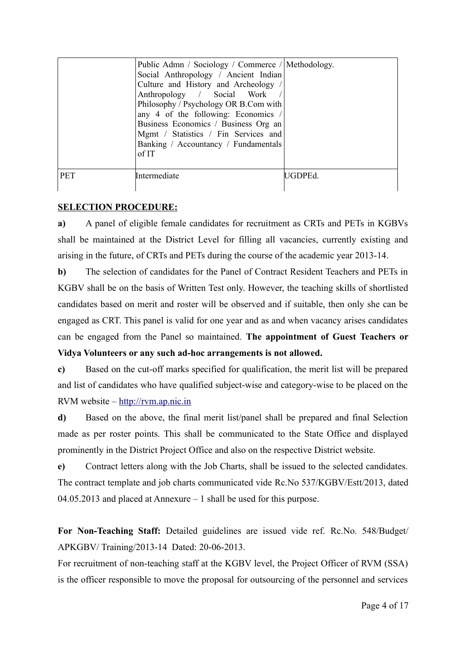|            | Public Admn / Sociology / Commerce / Methodology.<br>Social Anthropology / Ancient Indian<br>Culture and History and Archeology /<br>Anthropology / Social Work<br>Philosophy / Psychology OR B.Com with<br>any 4 of the following: Economics /<br>Business Economics / Business Org an<br>Mgmt / Statistics / Fin Services and<br>Banking / Accountancy / Fundamentals<br>of IT |         |
|------------|----------------------------------------------------------------------------------------------------------------------------------------------------------------------------------------------------------------------------------------------------------------------------------------------------------------------------------------------------------------------------------|---------|
| <b>PET</b> | Intermediate                                                                                                                                                                                                                                                                                                                                                                     | UGDPEd. |

#### **SELECTION PROCEDURE:**

**a)** A panel of eligible female candidates for recruitment as CRTs and PETs in KGBVs shall be maintained at the District Level for filling all vacancies, currently existing and arising in the future, of CRTs and PETs during the course of the academic year 2013-14.

**b)** The selection of candidates for the Panel of Contract Resident Teachers and PETs in KGBV shall be on the basis of Written Test only. However, the teaching skills of shortlisted candidates based on merit and roster will be observed and if suitable, then only she can be engaged as CRT. This panel is valid for one year and as and when vacancy arises candidates can be engaged from the Panel so maintained. **The appointment of Guest Teachers or Vidya Volunteers or any such ad-hoc arrangements is not allowed.**

**c)** Based on the cut-off marks specified for qualification, the merit list will be prepared and list of candidates who have qualified subject-wise and category-wise to be placed on the RVM website – [http://rvm.ap.nic.in](http://rvm.ap.nic.in/)

**d)** Based on the above, the final merit list/panel shall be prepared and final Selection made as per roster points. This shall be communicated to the State Office and displayed prominently in the District Project Office and also on the respective District website.

**e)** Contract letters along with the Job Charts, shall be issued to the selected candidates. The contract template and job charts communicated vide Rc.No 537/KGBV/Estt/2013, dated 04.05.2013 and placed at Annexure – 1 shall be used for this purpose.

**For Non-Teaching Staff:** Detailed guidelines are issued vide ref. Rc.No. 548/Budget/ APKGBV/ Training/2013-14 Dated: 20-06-2013.

For recruitment of non-teaching staff at the KGBV level, the Project Officer of RVM (SSA) is the officer responsible to move the proposal for outsourcing of the personnel and services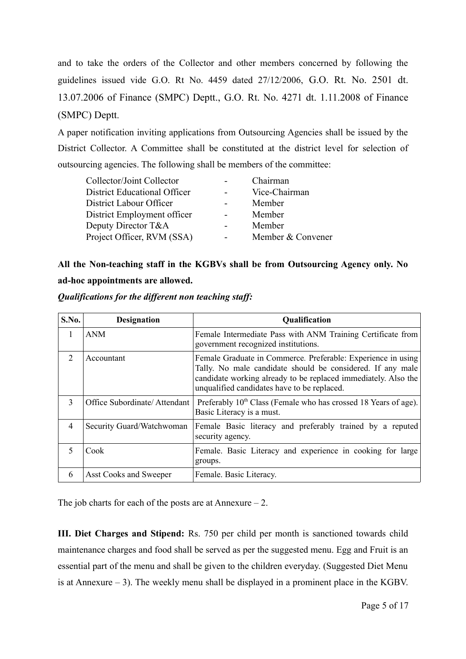and to take the orders of the Collector and other members concerned by following the guidelines issued vide G.O. Rt No. 4459 dated 27/12/2006, G.O. Rt. No. 2501 dt. 13.07.2006 of Finance (SMPC) Deptt., G.O. Rt. No. 4271 dt. 1.11.2008 of Finance (SMPC) Deptt.

A paper notification inviting applications from Outsourcing Agencies shall be issued by the District Collector. A Committee shall be constituted at the district level for selection of outsourcing agencies. The following shall be members of the committee:

| Collector/Joint Collector           |                | Chairman          |
|-------------------------------------|----------------|-------------------|
| <b>District Educational Officer</b> |                | Vice-Chairman     |
| District Labour Officer             |                | Member            |
| District Employment officer         | $\blacksquare$ | Member            |
| Deputy Director T&A                 | -              | Member            |
| Project Officer, RVM (SSA)          |                | Member & Convener |
|                                     |                |                   |

# **All the Non-teaching staff in the KGBVs shall be from Outsourcing Agency only. No**

## **ad-hoc appointments are allowed.**

| S.No.                    | <b>Designation</b>           | <b>Qualification</b>                                                                                                                                                                                                                        |  |  |  |  |  |
|--------------------------|------------------------------|---------------------------------------------------------------------------------------------------------------------------------------------------------------------------------------------------------------------------------------------|--|--|--|--|--|
| 1                        | <b>ANM</b>                   | Female Intermediate Pass with ANM Training Certificate from<br>government recognized institutions.                                                                                                                                          |  |  |  |  |  |
| $\mathfrak{D}$           | Accountant                   | Female Graduate in Commerce. Preferable: Experience in using<br>Tally. No male candidate should be considered. If any male<br>candidate working already to be replaced immediately. Also the<br>unqualified candidates have to be replaced. |  |  |  |  |  |
| 3                        | Office Subordinate/Attendant | Preferably 10 <sup>th</sup> Class (Female who has crossed 18 Years of age).<br>Basic Literacy is a must.                                                                                                                                    |  |  |  |  |  |
| $\overline{4}$           | Security Guard/Watchwoman    | Female Basic literacy and preferably trained by a reputed<br>security agency.                                                                                                                                                               |  |  |  |  |  |
| $\overline{\mathcal{L}}$ | Cook                         | Female. Basic Literacy and experience in cooking for large<br>groups.                                                                                                                                                                       |  |  |  |  |  |
| 6                        | Asst Cooks and Sweeper       | Female. Basic Literacy.                                                                                                                                                                                                                     |  |  |  |  |  |

*Qualifications for the different non teaching staff:*

The job charts for each of the posts are at Annexure  $-2$ .

**III. Diet Charges and Stipend:** Rs. 750 per child per month is sanctioned towards child maintenance charges and food shall be served as per the suggested menu. Egg and Fruit is an essential part of the menu and shall be given to the children everyday. (Suggested Diet Menu is at Annexure  $-3$ ). The weekly menu shall be displayed in a prominent place in the KGBV.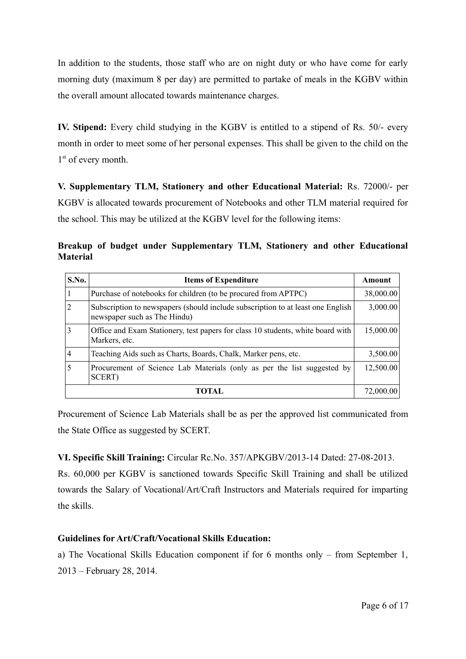In addition to the students, those staff who are on night duty or who have come for early morning duty (maximum 8 per day) are permitted to partake of meals in the KGBV within the overall amount allocated towards maintenance charges.

**IV. Stipend:** Every child studying in the KGBV is entitled to a stipend of Rs. 50/- every month in order to meet some of her personal expenses. This shall be given to the child on the 1<sup>st</sup> of every month.

**V. Supplementary TLM, Stationery and other Educational Material:** Rs. 72000/- per KGBV is allocated towards procurement of Notebooks and other TLM material required for the school. This may be utilized at the KGBV level for the following items:

**Breakup of budget under Supplementary TLM, Stationery and other Educational Material**

| S.No.          | <b>Items of Expenditure</b>                                                                                      | Amount    |
|----------------|------------------------------------------------------------------------------------------------------------------|-----------|
|                | Purchase of notebooks for children (to be procured from APTPC)                                                   | 38,000.00 |
| $\overline{2}$ | Subscription to newspapers (should include subscription to at least one English)<br>newspaper such as The Hindu) | 3,000.00  |
| 3              | Office and Exam Stationery, test papers for class 10 students, white board with<br>Markers, etc.                 | 15,000.00 |
| 4              | Teaching Aids such as Charts, Boards, Chalk, Marker pens, etc.                                                   | 3,500.00  |
| 5              | Procurement of Science Lab Materials (only as per the list suggested by<br>SCERT)                                | 12,500.00 |
|                | <b>TOTAL</b>                                                                                                     | 72,000.00 |

Procurement of Science Lab Materials shall be as per the approved list communicated from the State Office as suggested by SCERT.

**VI. Specific Skill Training:** Circular Rc.No. 357/APKGBV/2013-14 Dated: 27-08-2013.

Rs. 60,000 per KGBV is sanctioned towards Specific Skill Training and shall be utilized towards the Salary of Vocational/Art/Craft Instructors and Materials required for imparting the skills.

#### **Guidelines for Art/Craft/Vocational Skills Education:**

a) The Vocational Skills Education component if for 6 months only – from September 1, 2013 – February 28, 2014.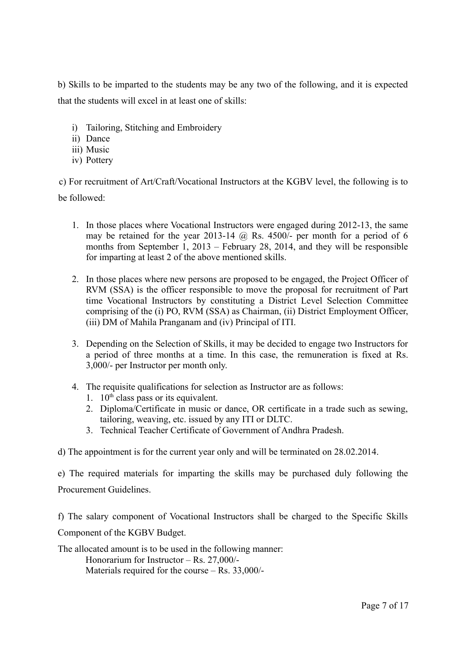b) Skills to be imparted to the students may be any two of the following, and it is expected that the students will excel in at least one of skills:

- i) Tailoring, Stitching and Embroidery
- ii) Dance
- iii) Music
- iv) Pottery

c) For recruitment of Art/Craft/Vocational Instructors at the KGBV level, the following is to be followed:

- 1. In those places where Vocational Instructors were engaged during 2012-13, the same may be retained for the year 2013-14  $\omega$  Rs. 4500/- per month for a period of 6 months from September 1, 2013 – February 28, 2014, and they will be responsible for imparting at least 2 of the above mentioned skills.
- 2. In those places where new persons are proposed to be engaged, the Project Officer of RVM (SSA) is the officer responsible to move the proposal for recruitment of Part time Vocational Instructors by constituting a District Level Selection Committee comprising of the (i) PO, RVM (SSA) as Chairman, (ii) District Employment Officer, (iii) DM of Mahila Pranganam and (iv) Principal of ITI.
- 3. Depending on the Selection of Skills, it may be decided to engage two Instructors for a period of three months at a time. In this case, the remuneration is fixed at Rs. 3,000/- per Instructor per month only.
- 4. The requisite qualifications for selection as Instructor are as follows:
	- 1.  $10<sup>th</sup>$  class pass or its equivalent.
	- 2. Diploma/Certificate in music or dance, OR certificate in a trade such as sewing, tailoring, weaving, etc. issued by any ITI or DLTC.
	- 3. Technical Teacher Certificate of Government of Andhra Pradesh.

d) The appointment is for the current year only and will be terminated on 28.02.2014.

e) The required materials for imparting the skills may be purchased duly following the Procurement Guidelines.

f) The salary component of Vocational Instructors shall be charged to the Specific Skills Component of the KGBV Budget.

The allocated amount is to be used in the following manner: Honorarium for Instructor – Rs. 27,000/- Materials required for the course – Rs. 33,000/-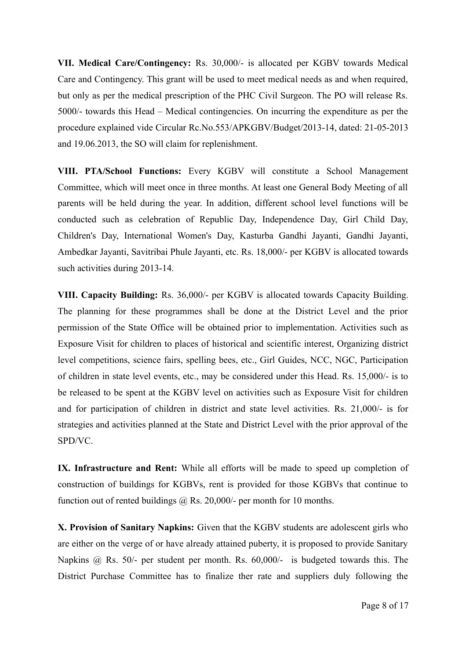**VII. Medical Care/Contingency:** Rs. 30,000/- is allocated per KGBV towards Medical Care and Contingency. This grant will be used to meet medical needs as and when required, but only as per the medical prescription of the PHC Civil Surgeon. The PO will release Rs. 5000/- towards this Head – Medical contingencies. On incurring the expenditure as per the procedure explained vide Circular Rc.No.553/APKGBV/Budget/2013-14, dated: 21-05-2013 and 19.06.2013, the SO will claim for replenishment.

**VIII. PTA/School Functions:** Every KGBV will constitute a School Management Committee, which will meet once in three months. At least one General Body Meeting of all parents will be held during the year. In addition, different school level functions will be conducted such as celebration of Republic Day, Independence Day, Girl Child Day, Children's Day, International Women's Day, Kasturba Gandhi Jayanti, Gandhi Jayanti, Ambedkar Jayanti, Savitribai Phule Jayanti, etc. Rs. 18,000/- per KGBV is allocated towards such activities during 2013-14.

**VIII. Capacity Building:** Rs. 36,000/- per KGBV is allocated towards Capacity Building. The planning for these programmes shall be done at the District Level and the prior permission of the State Office will be obtained prior to implementation. Activities such as Exposure Visit for children to places of historical and scientific interest, Organizing district level competitions, science fairs, spelling bees, etc., Girl Guides, NCC, NGC, Participation of children in state level events, etc., may be considered under this Head. Rs. 15,000/- is to be released to be spent at the KGBV level on activities such as Exposure Visit for children and for participation of children in district and state level activities. Rs. 21,000/- is for strategies and activities planned at the State and District Level with the prior approval of the SPD/VC.

**IX. Infrastructure and Rent:** While all efforts will be made to speed up completion of construction of buildings for KGBVs, rent is provided for those KGBVs that continue to function out of rented buildings  $\omega$  Rs. 20,000/- per month for 10 months.

**X. Provision of Sanitary Napkins:** Given that the KGBV students are adolescent girls who are either on the verge of or have already attained puberty, it is proposed to provide Sanitary Napkins @ Rs. 50/- per student per month. Rs. 60,000/- is budgeted towards this. The District Purchase Committee has to finalize ther rate and suppliers duly following the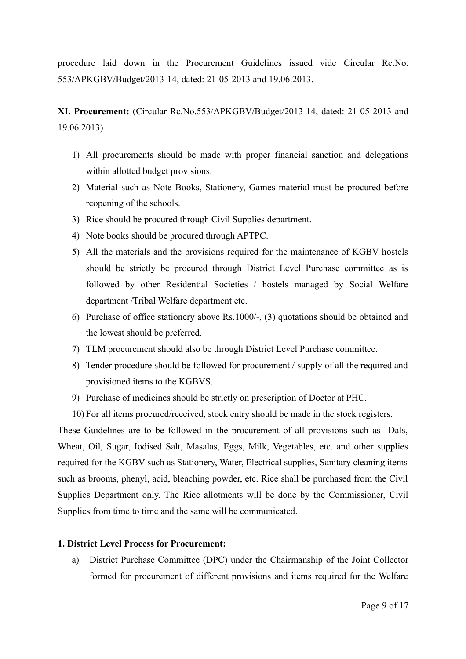procedure laid down in the Procurement Guidelines issued vide Circular Rc.No. 553/APKGBV/Budget/2013-14, dated: 21-05-2013 and 19.06.2013.

**XI. Procurement:** (Circular Rc.No.553/APKGBV/Budget/2013-14, dated: 21-05-2013 and 19.06.2013)

- 1) All procurements should be made with proper financial sanction and delegations within allotted budget provisions.
- 2) Material such as Note Books, Stationery, Games material must be procured before reopening of the schools.
- 3) Rice should be procured through Civil Supplies department.
- 4) Note books should be procured through APTPC.
- 5) All the materials and the provisions required for the maintenance of KGBV hostels should be strictly be procured through District Level Purchase committee as is followed by other Residential Societies / hostels managed by Social Welfare department /Tribal Welfare department etc.
- 6) Purchase of office stationery above Rs.1000/-, (3) quotations should be obtained and the lowest should be preferred.
- 7) TLM procurement should also be through District Level Purchase committee.
- 8) Tender procedure should be followed for procurement / supply of all the required and provisioned items to the KGBVS.
- 9) Purchase of medicines should be strictly on prescription of Doctor at PHC.
- 10) For all items procured/received, stock entry should be made in the stock registers.

These Guidelines are to be followed in the procurement of all provisions such as Dals, Wheat, Oil, Sugar, Iodised Salt, Masalas, Eggs, Milk, Vegetables, etc. and other supplies required for the KGBV such as Stationery, Water, Electrical supplies, Sanitary cleaning items such as brooms, phenyl, acid, bleaching powder, etc. Rice shall be purchased from the Civil Supplies Department only. The Rice allotments will be done by the Commissioner, Civil Supplies from time to time and the same will be communicated.

#### **1. District Level Process for Procurement:**

a) District Purchase Committee (DPC) under the Chairmanship of the Joint Collector formed for procurement of different provisions and items required for the Welfare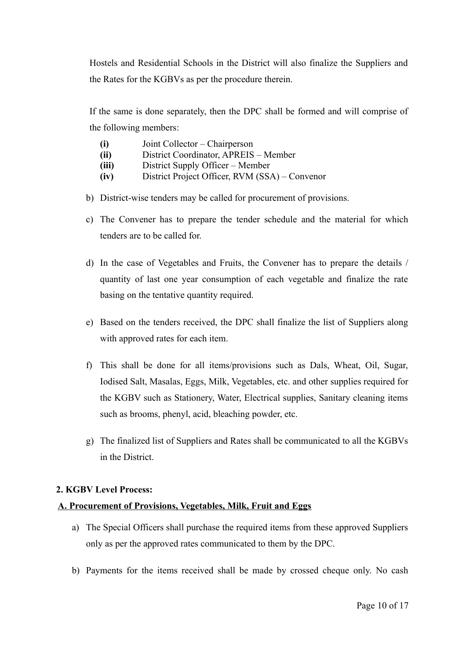Hostels and Residential Schools in the District will also finalize the Suppliers and the Rates for the KGBVs as per the procedure therein.

If the same is done separately, then the DPC shall be formed and will comprise of the following members:

- **(i)** Joint Collector Chairperson
- **(ii)** District Coordinator, APREIS Member
- **(iii)** District Supply Officer Member
- **(iv)** District Project Officer, RVM (SSA) Convenor
- b) District-wise tenders may be called for procurement of provisions.
- c) The Convener has to prepare the tender schedule and the material for which tenders are to be called for.
- d) In the case of Vegetables and Fruits, the Convener has to prepare the details / quantity of last one year consumption of each vegetable and finalize the rate basing on the tentative quantity required.
- e) Based on the tenders received, the DPC shall finalize the list of Suppliers along with approved rates for each item.
- f) This shall be done for all items/provisions such as Dals, Wheat, Oil, Sugar, Iodised Salt, Masalas, Eggs, Milk, Vegetables, etc. and other supplies required for the KGBV such as Stationery, Water, Electrical supplies, Sanitary cleaning items such as brooms, phenyl, acid, bleaching powder, etc.
- g) The finalized list of Suppliers and Rates shall be communicated to all the KGBVs in the District.

#### **2. KGBV Level Process:**

#### **A. Procurement of Provisions, Vegetables, Milk, Fruit and Eggs**

- a) The Special Officers shall purchase the required items from these approved Suppliers only as per the approved rates communicated to them by the DPC.
- b) Payments for the items received shall be made by crossed cheque only. No cash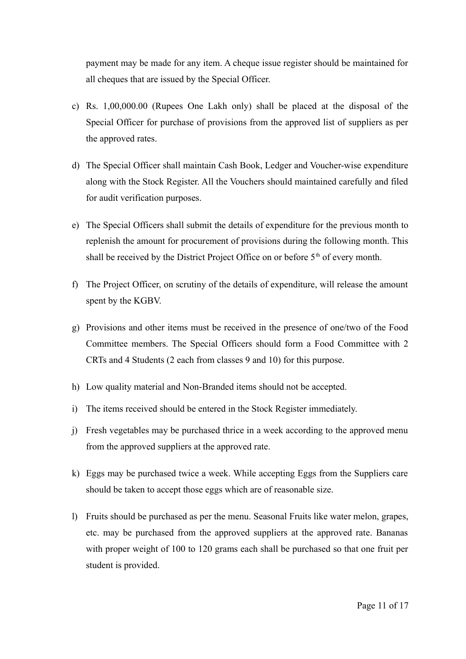payment may be made for any item. A cheque issue register should be maintained for all cheques that are issued by the Special Officer.

- c) Rs. 1,00,000.00 (Rupees One Lakh only) shall be placed at the disposal of the Special Officer for purchase of provisions from the approved list of suppliers as per the approved rates.
- d) The Special Officer shall maintain Cash Book, Ledger and Voucher-wise expenditure along with the Stock Register. All the Vouchers should maintained carefully and filed for audit verification purposes.
- e) The Special Officers shall submit the details of expenditure for the previous month to replenish the amount for procurement of provisions during the following month. This shall be received by the District Project Office on or before  $5<sup>th</sup>$  of every month.
- f) The Project Officer, on scrutiny of the details of expenditure, will release the amount spent by the KGBV.
- g) Provisions and other items must be received in the presence of one/two of the Food Committee members. The Special Officers should form a Food Committee with 2 CRTs and 4 Students (2 each from classes 9 and 10) for this purpose.
- h) Low quality material and Non-Branded items should not be accepted.
- i) The items received should be entered in the Stock Register immediately.
- j) Fresh vegetables may be purchased thrice in a week according to the approved menu from the approved suppliers at the approved rate.
- k) Eggs may be purchased twice a week. While accepting Eggs from the Suppliers care should be taken to accept those eggs which are of reasonable size.
- l) Fruits should be purchased as per the menu. Seasonal Fruits like water melon, grapes, etc. may be purchased from the approved suppliers at the approved rate. Bananas with proper weight of 100 to 120 grams each shall be purchased so that one fruit per student is provided.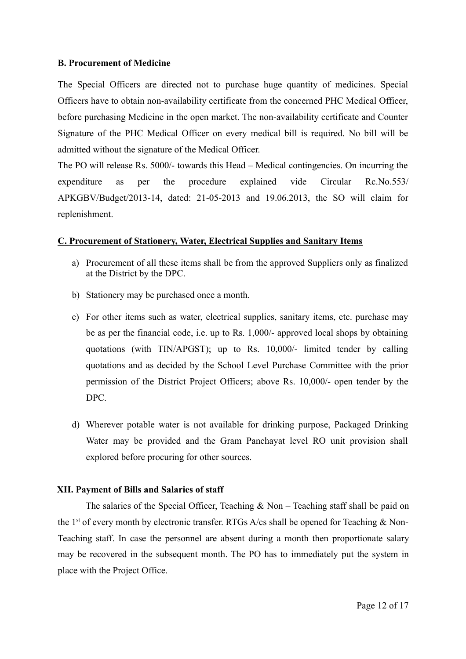#### **B. Procurement of Medicine**

The Special Officers are directed not to purchase huge quantity of medicines. Special Officers have to obtain non-availability certificate from the concerned PHC Medical Officer, before purchasing Medicine in the open market. The non-availability certificate and Counter Signature of the PHC Medical Officer on every medical bill is required. No bill will be admitted without the signature of the Medical Officer.

The PO will release Rs. 5000/- towards this Head – Medical contingencies. On incurring the expenditure as per the procedure explained vide Circular Rc.No.553/ APKGBV/Budget/2013-14, dated: 21-05-2013 and 19.06.2013, the SO will claim for replenishment.

#### **C. Procurement of Stationery, Water, Electrical Supplies and Sanitary Items**

- a) Procurement of all these items shall be from the approved Suppliers only as finalized at the District by the DPC.
- b) Stationery may be purchased once a month.
- c) For other items such as water, electrical supplies, sanitary items, etc. purchase may be as per the financial code, i.e. up to Rs. 1,000/- approved local shops by obtaining quotations (with TIN/APGST); up to Rs. 10,000/- limited tender by calling quotations and as decided by the School Level Purchase Committee with the prior permission of the District Project Officers; above Rs. 10,000/- open tender by the DPC.
- d) Wherever potable water is not available for drinking purpose, Packaged Drinking Water may be provided and the Gram Panchayat level RO unit provision shall explored before procuring for other sources.

#### **XII. Payment of Bills and Salaries of staff**

The salaries of the Special Officer, Teaching  $\&$  Non – Teaching staff shall be paid on the  $1<sup>st</sup>$  of every month by electronic transfer. RTGs A/cs shall be opened for Teaching & Non-Teaching staff. In case the personnel are absent during a month then proportionate salary may be recovered in the subsequent month. The PO has to immediately put the system in place with the Project Office.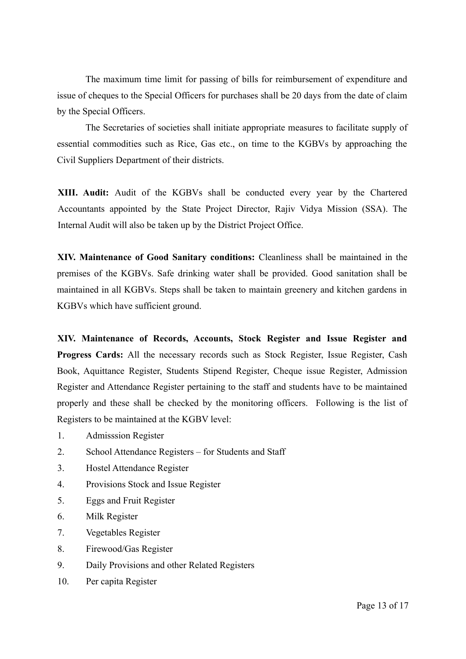The maximum time limit for passing of bills for reimbursement of expenditure and issue of cheques to the Special Officers for purchases shall be 20 days from the date of claim by the Special Officers.

The Secretaries of societies shall initiate appropriate measures to facilitate supply of essential commodities such as Rice, Gas etc., on time to the KGBVs by approaching the Civil Suppliers Department of their districts.

**XIII. Audit:** Audit of the KGBVs shall be conducted every year by the Chartered Accountants appointed by the State Project Director, Rajiv Vidya Mission (SSA). The Internal Audit will also be taken up by the District Project Office.

**XIV. Maintenance of Good Sanitary conditions:** Cleanliness shall be maintained in the premises of the KGBVs. Safe drinking water shall be provided. Good sanitation shall be maintained in all KGBVs. Steps shall be taken to maintain greenery and kitchen gardens in KGBVs which have sufficient ground.

**XIV. Maintenance of Records, Accounts, Stock Register and Issue Register and Progress Cards:** All the necessary records such as Stock Register, Issue Register, Cash Book, Aquittance Register, Students Stipend Register, Cheque issue Register, Admission Register and Attendance Register pertaining to the staff and students have to be maintained properly and these shall be checked by the monitoring officers. Following is the list of Registers to be maintained at the KGBV level:

- 1. Admisssion Register
- 2. School Attendance Registers for Students and Staff
- 3. Hostel Attendance Register
- 4. Provisions Stock and Issue Register
- 5. Eggs and Fruit Register
- 6. Milk Register
- 7. Vegetables Register
- 8. Firewood/Gas Register
- 9. Daily Provisions and other Related Registers
- 10. Per capita Register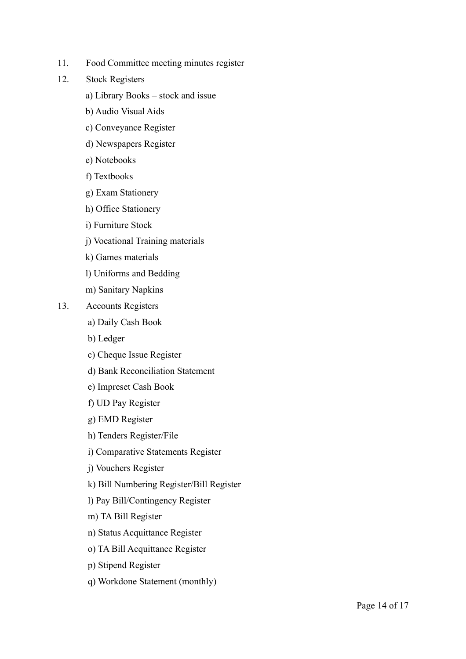- 11. Food Committee meeting minutes register
- 12. Stock Registers
	- a) Library Books stock and issue
	- b) Audio Visual Aids
	- c) Conveyance Register
	- d) Newspapers Register
	- e) Notebooks
	- f) Textbooks
	- g) Exam Stationery
	- h) Office Stationery
	- i) Furniture Stock
	- j) Vocational Training materials
	- k) Games materials
	- l) Uniforms and Bedding
	- m) Sanitary Napkins
- 13. Accounts Registers
	- a) Daily Cash Book
	- b) Ledger
	- c) Cheque Issue Register
	- d) Bank Reconciliation Statement
	- e) Impreset Cash Book
	- f) UD Pay Register
	- g) EMD Register
	- h) Tenders Register/File
	- i) Comparative Statements Register
	- j) Vouchers Register
	- k) Bill Numbering Register/Bill Register
	- l) Pay Bill/Contingency Register
	- m) TA Bill Register
	- n) Status Acquittance Register
	- o) TA Bill Acquittance Register
	- p) Stipend Register
	- q) Workdone Statement (monthly)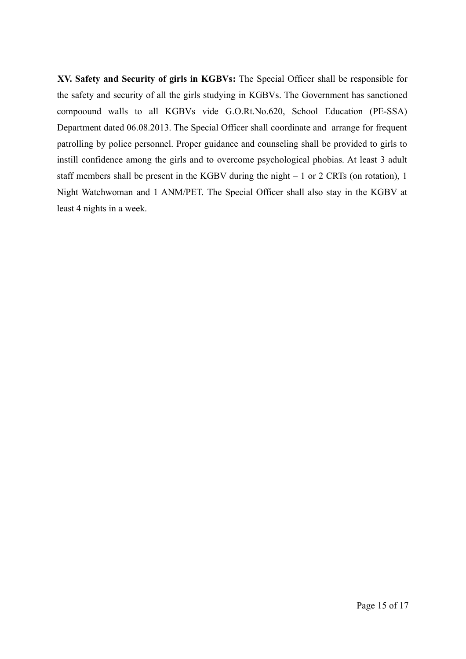**XV. Safety and Security of girls in KGBVs:** The Special Officer shall be responsible for the safety and security of all the girls studying in KGBVs. The Government has sanctioned compoound walls to all KGBVs vide G.O.Rt.No.620, School Education (PE-SSA) Department dated 06.08.2013. The Special Officer shall coordinate and arrange for frequent patrolling by police personnel. Proper guidance and counseling shall be provided to girls to instill confidence among the girls and to overcome psychological phobias. At least 3 adult staff members shall be present in the KGBV during the night – 1 or 2 CRTs (on rotation), 1 Night Watchwoman and 1 ANM/PET. The Special Officer shall also stay in the KGBV at least 4 nights in a week.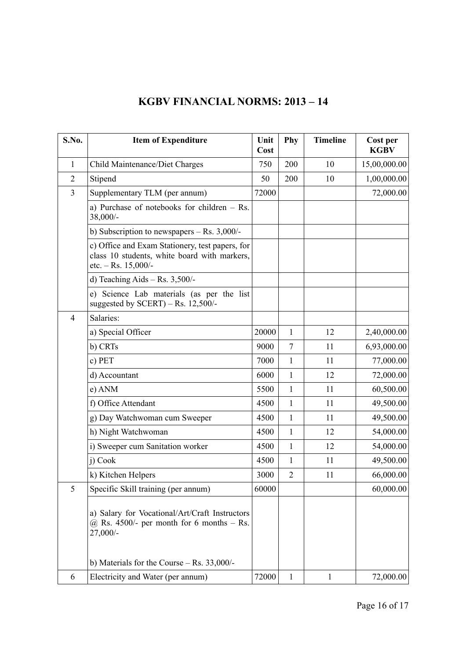# **KGBV FINANCIAL NORMS: 2013 – 14**

| S.No.          | <b>Item of Expenditure</b>                                                                                               | Unit<br>Cost | Phy            | <b>Timeline</b> | Cost per<br><b>KGBV</b> |
|----------------|--------------------------------------------------------------------------------------------------------------------------|--------------|----------------|-----------------|-------------------------|
| $\mathbf{1}$   | Child Maintenance/Diet Charges                                                                                           | 750          | 200            | 10              | 15,00,000.00            |
| $\overline{2}$ | Stipend                                                                                                                  | 50           | 200            | 10              | 1,00,000.00             |
| $\overline{3}$ | Supplementary TLM (per annum)                                                                                            | 72000        |                |                 | 72,000.00               |
|                | a) Purchase of notebooks for children $-$ Rs.<br>38,000/-                                                                |              |                |                 |                         |
|                | b) Subscription to newspapers $-$ Rs. 3,000/-                                                                            |              |                |                 |                         |
|                | c) Office and Exam Stationery, test papers, for<br>class 10 students, white board with markers,<br>etc. $-$ Rs. 15,000/- |              |                |                 |                         |
|                | d) Teaching Aids $-$ Rs. 3,500/-                                                                                         |              |                |                 |                         |
|                | e) Science Lab materials (as per the list<br>suggested by $SCERT$ ) – Rs. 12,500/-                                       |              |                |                 |                         |
| $\overline{4}$ | Salaries:                                                                                                                |              |                |                 |                         |
|                | a) Special Officer                                                                                                       | 20000        | 1              | 12              | 2,40,000.00             |
|                | b) CRTs                                                                                                                  | 9000         | $\overline{7}$ | 11              | 6,93,000.00             |
|                | c) PET                                                                                                                   | 7000         | 1              | 11              | 77,000.00               |
|                | d) Accountant                                                                                                            | 6000         | 1              | 12              | 72,000.00               |
|                | e) ANM                                                                                                                   | 5500         | 1              | 11              | 60,500.00               |
|                | f) Office Attendant                                                                                                      | 4500         | 1              | 11              | 49,500.00               |
|                | g) Day Watchwoman cum Sweeper                                                                                            | 4500         | 1              | 11              | 49,500.00               |
|                | h) Night Watchwoman                                                                                                      | 4500         | 1              | 12              | 54,000.00               |
|                | i) Sweeper cum Sanitation worker                                                                                         | 4500         | 1              | 12              | 54,000.00               |
|                | j) Cook                                                                                                                  | 4500         | 1              | 11              | 49,500.00               |
|                | k) Kitchen Helpers                                                                                                       | 3000         | $\overline{2}$ | 11              | 66,000.00               |
| 5              | Specific Skill training (per annum)                                                                                      | 60000        |                |                 | 60,000.00               |
|                | a) Salary for Vocational/Art/Craft Instructors<br>$\omega$ Rs. 4500/- per month for 6 months – Rs.<br>27,000/-           |              |                |                 |                         |
|                | b) Materials for the Course $-$ Rs. 33,000/-                                                                             |              |                |                 |                         |
| 6              | Electricity and Water (per annum)                                                                                        | 72000        | $\mathbf{1}$   | 1               | 72,000.00               |